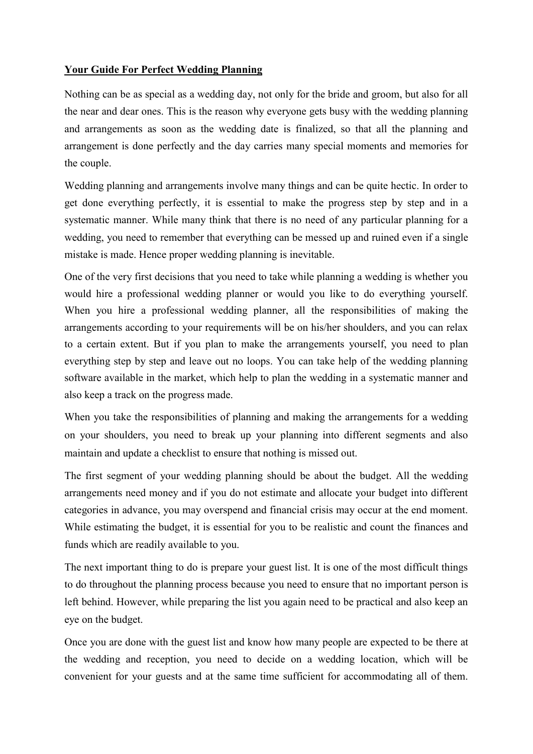## **Your Guide For Perfect Wedding Planning**

Nothing can be as special as a wedding day, not only for the bride and groom, but also for all the near and dear ones. This is the reason why everyone gets busy with the wedding planning and arrangements as soon as the wedding date is finalized, so that all the planning and arrangement is done perfectly and the day carries many special moments and memories for the couple.

Wedding planning and arrangements involve many things and can be quite hectic. In order to get done everything perfectly, it is essential to make the progress step by step and in a systematic manner. While many think that there is no need of any particular planning for a wedding, you need to remember that everything can be messed up and ruined even if a single mistake is made. Hence proper wedding planning is inevitable.

One of the very first decisions that you need to take while planning a wedding is whether you would hire a professional wedding planner or would you like to do everything yourself. When you hire a professional wedding planner, all the responsibilities of making the arrangements according to your requirements will be on his/her shoulders, and you can relax to a certain extent. But if you plan to make the arrangements yourself, you need to plan everything step by step and leave out no loops. You can take help of the wedding planning software available in the market, which help to plan the wedding in a systematic manner and also keep a track on the progress made.

When you take the responsibilities of planning and making the arrangements for a wedding on your shoulders, you need to break up your planning into different segments and also maintain and update a checklist to ensure that nothing is missed out.

The first segment of your wedding planning should be about the budget. All the wedding arrangements need money and if you do not estimate and allocate your budget into different categories in advance, you may overspend and financial crisis may occur at the end moment. While estimating the budget, it is essential for you to be realistic and count the finances and funds which are readily available to you.

The next important thing to do is prepare your guest list. It is one of the most difficult things to do throughout the planning process because you need to ensure that no important person is left behind. However, while preparing the list you again need to be practical and also keep an eye on the budget.

Once you are done with the guest list and know how many people are expected to be there at the wedding and reception, you need to decide on a wedding location, which will be convenient for your guests and at the same time sufficient for accommodating all of them.